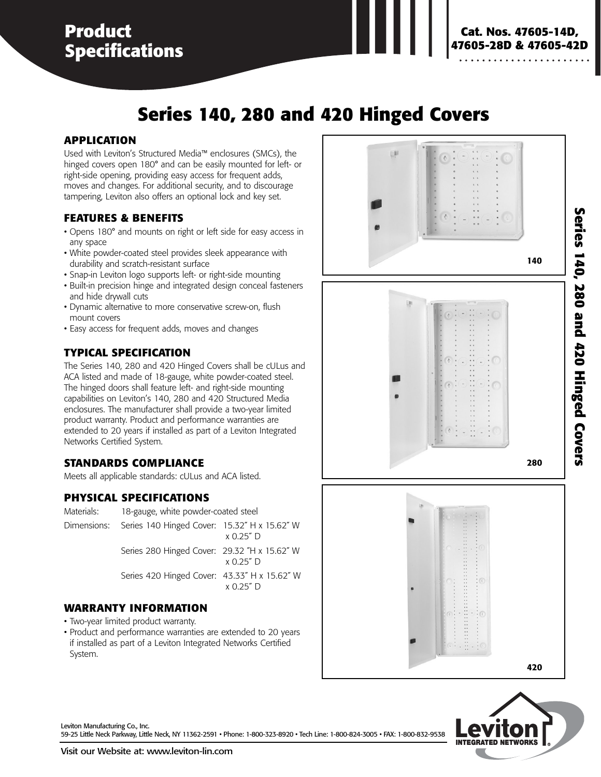## **Product Specifications**

# **Series 140, 280 and 420 Hinged Covers**

#### **APPLICATION**

Used with Leviton's Structured Media™ enclosures (SMCs), the hinged covers open 180° and can be easily mounted for left- or right-side opening, providing easy access for frequent adds, moves and changes. For additional security, and to discourage tampering, Leviton also offers an optional lock and key set.

#### **FEATURES & BENEFITS**

- Opens 180° and mounts on right or left side for easy access in any space
- White powder-coated steel provides sleek appearance with durability and scratch-resistant surface
- Snap-in Leviton logo supports left- or right-side mounting
- Built-in precision hinge and integrated design conceal fasteners and hide drywall cuts
- Dynamic alternative to more conservative screw-on, flush mount covers
- Easy access for frequent adds, moves and changes

#### **TYPICAL SPECIFICATION**

The Series 140, 280 and 420 Hinged Covers shall be cULus and ACA listed and made of 18-gauge, white powder-coated steel. The hinged doors shall feature left- and right-side mounting capabilities on Leviton's 140, 280 and 420 Structured Media enclosures. The manufacturer shall provide a two-year limited product warranty. Product and performance warranties are extended to 20 years if installed as part of a Leviton Integrated Networks Certified System.

#### **STANDARDS COMPLIANCE**

Meets all applicable standards: cULus and ACA listed.

#### **PHYSICAL SPECIFICATIONS**

| Materials: | 18-gauge, white powder-coated steel                      |                  |
|------------|----------------------------------------------------------|------------------|
|            | Dimensions: Series 140 Hinged Cover: 15.32" H x 15.62" W | $\times$ 0.25" D |
|            | Series 280 Hinged Cover: 29.32 "H x 15.62" W             | $x$ 0.25 $"$ D   |
|            | Series 420 Hinged Cover: 43.33" H x 15.62" W             | $\times$ 0.25" D |

#### **WARRANTY INFORMATION**

- Two-year limited product warranty.
- Product and performance warranties are extended to 20 years if installed as part of a Leviton Integrated Networks Certified System.





Leviton Manufacturing Co., Inc. 59-25 Little Neck Parkway, Little Neck, NY 11362-2591 • Phone: 1-800-323-8920 • Tech Line: 1-800-824-3005 • FAX: 1-800-832-9538 Series 140, 280 and 420 Hinged Covers **Series 140, 280 and 420 Hinged Covers**

**Cat. Nos. 47605-14D, 47605-28D & 47605-42D**